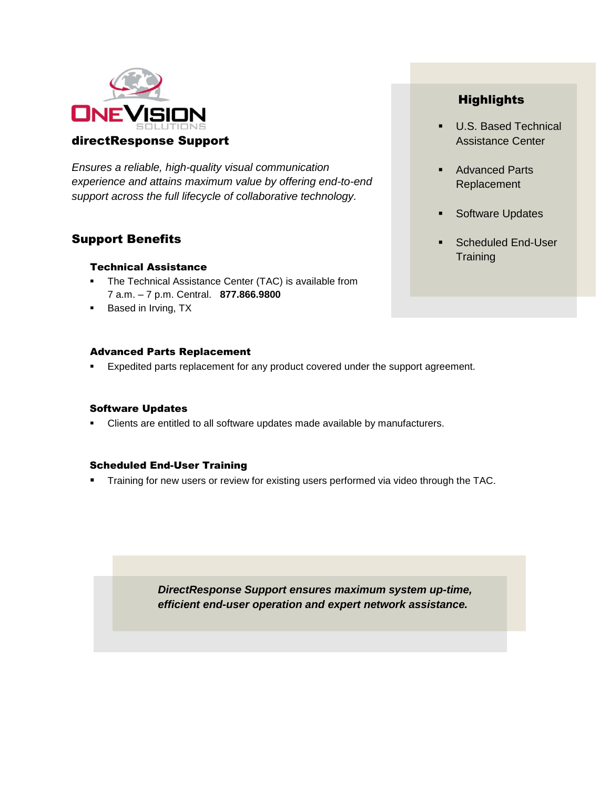

*Ensures a reliable, high-quality visual communication experience and attains maximum value by offering end-to-end support across the full lifecycle of collaborative technology.* 

# Support Benefits

## Technical Assistance

- **The Technical Assistance Center (TAC) is available from** 7 a.m. – 7 p.m. Central. **877.866.9800**
- **Based in Irving, TX**

## Advanced Parts Replacement

**Expedited parts replacement for any product covered under the support agreement.** 

# Software Updates

Clients are entitled to all software updates made available by manufacturers.

# Scheduled End-User Training

**Training for new users or review for existing users performed via video through the TAC.** 

*DirectResponse Support ensures maximum system up-time, efficient end-user operation and expert network assistance.* 

# **Highlights**

- U.S. Based Technical Assistance Center
- **Advanced Parts** Replacement
- Software Updates
- Scheduled End-User **Training**